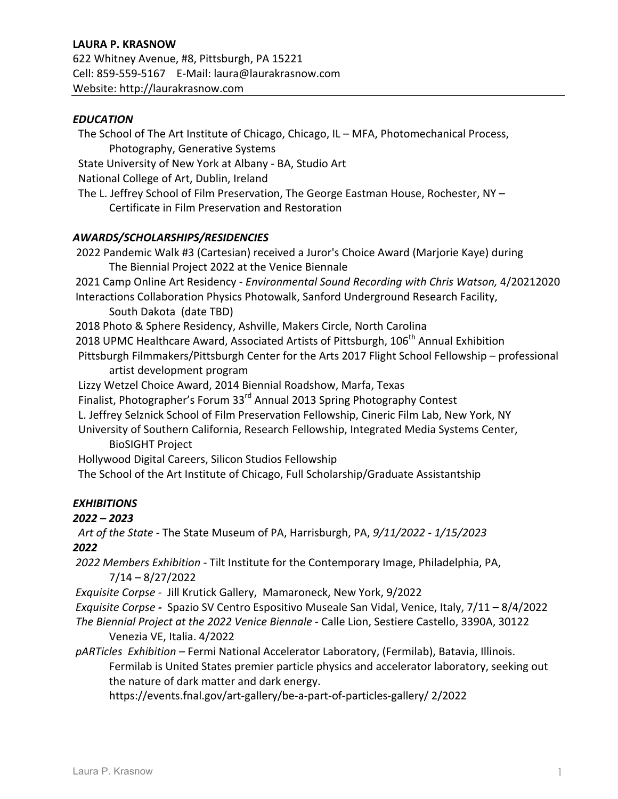### LAURA P. KRASNOW

622 Whitney Avenue, #8, Pittsburgh, PA 15221 Cell: 859-559-5167 E-Mail: laura@laurakrasnow.com Website: http://laurakrasnow.com

#### *EDUCATION*

The School of The Art Institute of Chicago, Chicago, IL – MFA, Photomechanical Process, Photography, Generative Systems State University of New York at Albany - BA, Studio Art National College of Art, Dublin, Ireland The L. Jeffrey School of Film Preservation, The George Eastman House, Rochester, NY  $-$ Certificate in Film Preservation and Restoration

#### *AWARDS/SCHOLARSHIPS/RESIDENCIES*

2022 Pandemic Walk #3 (Cartesian) received a Juror's Choice Award (Marjorie Kaye) during The Biennial Project 2022 at the Venice Biennale 2021 Camp Online Art Residency - *Environmental Sound Recording with Chris Watson, 4*/20212020 Interactions Collaboration Physics Photowalk, Sanford Underground Research Facility, South Dakota (date TBD) 2018 Photo & Sphere Residency, Ashville, Makers Circle, North Carolina 2018 UPMC Healthcare Award, Associated Artists of Pittsburgh, 106<sup>th</sup> Annual Exhibition Pittsburgh Filmmakers/Pittsburgh Center for the Arts 2017 Flight School Fellowship – professional artist development program Lizzy Wetzel Choice Award, 2014 Biennial Roadshow, Marfa, Texas Finalist, Photographer's Forum 33<sup>rd</sup> Annual 2013 Spring Photography Contest L. Jeffrey Selznick School of Film Preservation Fellowship, Cineric Film Lab, New York, NY University of Southern California, Research Fellowship, Integrated Media Systems Center, **BioSIGHT Project** Hollywood Digital Careers, Silicon Studios Fellowship The School of the Art Institute of Chicago, Full Scholarship/Graduate Assistantship *EXHIBITIONS 2022 – 2023*

*Art of the State -* The State Museum of PA, Harrisburgh, PA,  $9/11/2022 - 1/15/2023$ *2022*

2022 Members Exhibition - Tilt Institute for the Contemporary Image, Philadelphia, PA, 7/14 – 8/27/2022

Exquisite Corpse - Jill Krutick Gallery, Mamaroneck, New York, 9/2022

*Exquisite Corpse* - Spazio SV Centro Espositivo Museale San Vidal, Venice, Italy, 7/11 – 8/4/2022

The Biennial Project at the 2022 Venice Biennale - Calle Lion, Sestiere Castello, 3390A, 30122 Venezia VE, Italia. 4/2022

*pARTicles Exhibition* – Fermi National Accelerator Laboratory, (Fermilab), Batavia, Illinois. Fermilab is United States premier particle physics and accelerator laboratory, seeking out the nature of dark matter and dark energy.

https://events.fnal.gov/art-gallery/be-a-part-of-particles-gallery/ 2/2022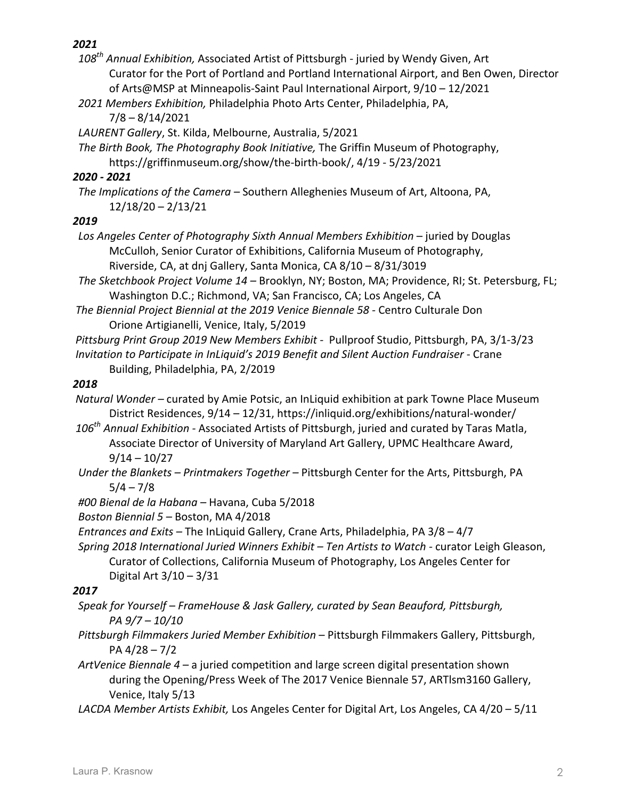- 108<sup>th</sup> Annual Exhibition, Associated Artist of Pittsburgh juried by Wendy Given, Art Curator for the Port of Portland and Portland International Airport, and Ben Owen, Director of Arts@MSP at Minneapolis-Saint Paul International Airport, 9/10 - 12/2021
- 2021 Members Exhibition, Philadelphia Photo Arts Center, Philadelphia, PA,  $7/8 - 8/14/2021$
- LAURENT Gallery, St. Kilda, Melbourne, Australia, 5/2021
- *The Birth Book, The Photography Book Initiative,* The Griffin Museum of Photography, https://griffinmuseum.org/show/the-birth-book/, 4/19 - 5/23/2021

# *2020 - 2021*

*The Implications of the Camera* – Southern Alleghenies Museum of Art, Altoona, PA,  $12/18/20 - 2/13/21$ 

# *2019*

- Los Angeles Center of Photography Sixth Annual Members Exhibition juried by Douglas McCulloh, Senior Curator of Exhibitions, California Museum of Photography, Riverside, CA, at dnj Gallery, Santa Monica, CA 8/10 - 8/31/3019
- *The Sketchbook Project Volume 14* Brooklyn, NY; Boston, MA; Providence, RI; St. Petersburg, FL; Washington D.C.; Richmond, VA; San Francisco, CA; Los Angeles, CA
- The Biennial Project Biennial at the 2019 Venice Biennale 58 Centro Culturale Don Orione Artigianelli, Venice, Italy, 5/2019
- Pittsburg Print Group 2019 New Members Exhibit Pullproof Studio, Pittsburgh, PA, 3/1-3/23 *Invitation to Participate in InLiquid's 2019 Benefit and Silent Auction Fundraiser* - Crane

Building, Philadelphia, PA, 2/2019

# *2018*

*Natural Wonder* – curated by Amie Potsic, an InLiquid exhibition at park Towne Place Museum District Residences,  $9/14 - 12/31$ , https://inliquid.org/exhibitions/natural-wonder/

106<sup>th</sup> Annual Exhibition - Associated Artists of Pittsburgh, juried and curated by Taras Matla, Associate Director of University of Maryland Art Gallery, UPMC Healthcare Award,  $9/14 - 10/27$ 

- *Under the Blankets Printmakers Together Pittsburgh Center for the Arts, Pittsburgh, PA*  $5/4 - 7/8$
- *#00 Bienal de la Habana –* Havana, Cuba 5/2018
- *Boston Biennial 5 –* Boston, MA 4/2018
- *Entrances and Exits* The InLiquid Gallery, Crane Arts, Philadelphia, PA 3/8 4/7
- *Spring 2018 International Juried Winners Exhibit* Ten Artists to Watch curator Leigh Gleason, Curator of Collections, California Museum of Photography, Los Angeles Center for Digital Art  $3/10 - 3/31$

## *2017*

- *Speak for Yourself FrameHouse & Jask Gallery, curated by Sean Beauford, Pittsburgh, PA 9/7 – 10/10*
- Pittsburgh Filmmakers Juried Member Exhibition Pittsburgh Filmmakers Gallery, Pittsburgh, PA  $4/28 - 7/2$
- ArtVenice Biennale 4 a juried competition and large screen digital presentation shown during the Opening/Press Week of The 2017 Venice Biennale 57, ARTlsm3160 Gallery, Venice, Italy 5/13
- LACDA Member Artists Exhibit, Los Angeles Center for Digital Art, Los Angeles, CA 4/20 5/11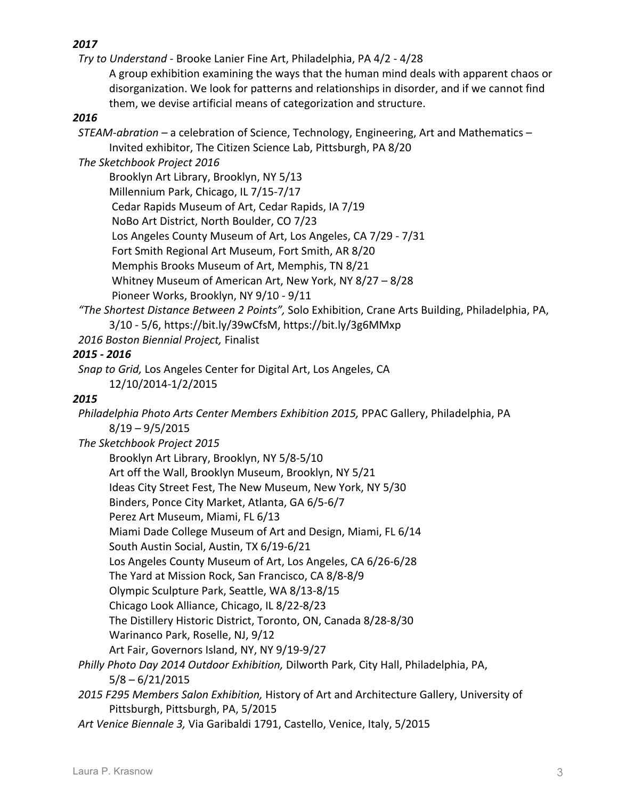*Try to Understand* - Brooke Lanier Fine Art, Philadelphia, PA 4/2 - 4/28

A group exhibition examining the ways that the human mind deals with apparent chaos or disorganization. We look for patterns and relationships in disorder, and if we cannot find them, we devise artificial means of categorization and structure.

# *2016*

*STEAM-abration* – a celebration of Science, Technology, Engineering, Art and Mathematics – Invited exhibitor, The Citizen Science Lab, Pittsburgh, PA 8/20

 *The Sketchbook Project 2016*

Brooklyn Art Library, Brooklyn, NY 5/13 Millennium Park, Chicago, IL 7/15-7/17 Cedar Rapids Museum of Art, Cedar Rapids, IA 7/19 NoBo Art District, North Boulder, CO 7/23 Los Angeles County Museum of Art, Los Angeles, CA 7/29 - 7/31 Fort Smith Regional Art Museum, Fort Smith, AR 8/20 Memphis Brooks Museum of Art, Memphis, TN 8/21 Whitney Museum of American Art, New York, NY  $8/27 - 8/28$ Pioneer Works, Brooklyn, NY 9/10 - 9/11

"The Shortest Distance Between 2 Points", Solo Exhibition, Crane Arts Building, Philadelphia, PA, 3/10 - 5/6, https://bit.ly/39wCfsM, https://bit.ly/3g6MMxp

2016 Boston Biennial Project, Finalist

## *2015 - 2016*

*Snap to Grid,* Los Angeles Center for Digital Art, Los Angeles, CA 12/10/2014-1/2/2015

### *2015*

Philadelphia Photo Arts Center Members Exhibition 2015, PPAC Gallery, Philadelphia, PA  $8/19 - 9/5/2015$ 

The Sketchbook Project 2015

Brooklyn Art Library, Brooklyn, NY 5/8-5/10 Art off the Wall, Brooklyn Museum, Brooklyn, NY 5/21 Ideas City Street Fest, The New Museum, New York, NY 5/30 Binders, Ponce City Market, Atlanta, GA 6/5-6/7 Perez Art Museum, Miami, FL 6/13 Miami Dade College Museum of Art and Design, Miami, FL 6/14 South Austin Social, Austin, TX 6/19-6/21 Los Angeles County Museum of Art, Los Angeles, CA 6/26-6/28 The Yard at Mission Rock, San Francisco, CA 8/8-8/9 Olympic Sculpture Park, Seattle, WA 8/13-8/15 Chicago Look Alliance, Chicago, IL 8/22-8/23 The Distillery Historic District, Toronto, ON, Canada 8/28-8/30 Warinanco Park, Roselle, NJ, 9/12 Art Fair, Governors Island, NY, NY 9/19-9/27 Philly Photo Day 2014 Outdoor Exhibition, Dilworth Park, City Hall, Philadelphia, PA,  $5/8 - 6/21/2015$ 2015 F295 Members Salon Exhibition, History of Art and Architecture Gallery, University of Pittsburgh, Pittsburgh, PA, 5/2015

Art Venice Biennale 3, Via Garibaldi 1791, Castello, Venice, Italy, 5/2015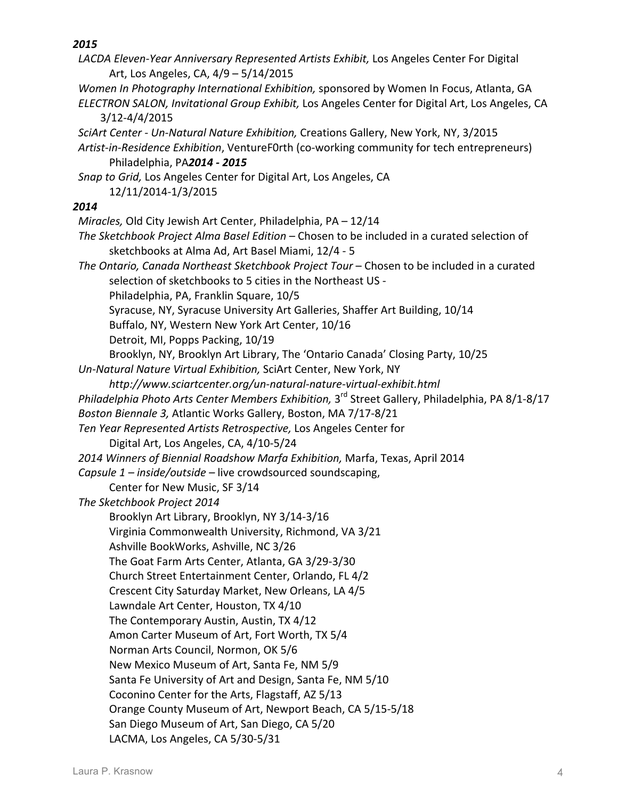| LACDA Eleven-Year Anniversary Represented Artists Exhibit, Los Angeles Center For Digital                    |
|--------------------------------------------------------------------------------------------------------------|
| Art, Los Angeles, CA, 4/9 - 5/14/2015                                                                        |
| Women In Photography International Exhibition, sponsored by Women In Focus, Atlanta, GA                      |
| ELECTRON SALON, Invitational Group Exhibit, Los Angeles Center for Digital Art, Los Angeles, CA              |
| $3/12 - 4/4/2015$                                                                                            |
| SciArt Center - Un-Natural Nature Exhibition, Creations Gallery, New York, NY, 3/2015                        |
| Artist-in-Residence Exhibition, VentureF0rth (co-working community for tech entrepreneurs)                   |
| Philadelphia, PA2014 - 2015                                                                                  |
| Snap to Grid, Los Angeles Center for Digital Art, Los Angeles, CA                                            |
| 12/11/2014-1/3/2015                                                                                          |
| 2014                                                                                                         |
| Miracles, Old City Jewish Art Center, Philadelphia, PA - 12/14                                               |
| The Sketchbook Project Alma Basel Edition - Chosen to be included in a curated selection of                  |
| sketchbooks at Alma Ad, Art Basel Miami, 12/4 - 5                                                            |
| The Ontario, Canada Northeast Sketchbook Project Tour - Chosen to be included in a curated                   |
| selection of sketchbooks to 5 cities in the Northeast US -                                                   |
| Philadelphia, PA, Franklin Square, 10/5                                                                      |
| Syracuse, NY, Syracuse University Art Galleries, Shaffer Art Building, 10/14                                 |
| Buffalo, NY, Western New York Art Center, 10/16                                                              |
| Detroit, MI, Popps Packing, 10/19                                                                            |
| Brooklyn, NY, Brooklyn Art Library, The 'Ontario Canada' Closing Party, 10/25                                |
| Un-Natural Nature Virtual Exhibition, SciArt Center, New York, NY                                            |
| http://www.sciartcenter.org/un-natural-nature-virtual-exhibit.html                                           |
| Philadelphia Photo Arts Center Members Exhibition, 3 <sup>rd</sup> Street Gallery, Philadelphia, PA 8/1-8/17 |
| Boston Biennale 3, Atlantic Works Gallery, Boston, MA 7/17-8/21                                              |
| Ten Year Represented Artists Retrospective, Los Angeles Center for                                           |
| Digital Art, Los Angeles, CA, 4/10-5/24                                                                      |
| 2014 Winners of Biennial Roadshow Marfa Exhibition, Marfa, Texas, April 2014                                 |
| Capsule 1 - inside/outside - live crowdsourced soundscaping,                                                 |
| Center for New Music, SF 3/14                                                                                |
| The Sketchbook Project 2014                                                                                  |
| Brooklyn Art Library, Brooklyn, NY 3/14-3/16                                                                 |
| Virginia Commonwealth University, Richmond, VA 3/21                                                          |
| Ashville BookWorks, Ashville, NC 3/26                                                                        |
| The Goat Farm Arts Center, Atlanta, GA 3/29-3/30                                                             |
| Church Street Entertainment Center, Orlando, FL 4/2                                                          |
| Crescent City Saturday Market, New Orleans, LA 4/5                                                           |
| Lawndale Art Center, Houston, TX 4/10                                                                        |
| The Contemporary Austin, Austin, TX 4/12                                                                     |
| Amon Carter Museum of Art, Fort Worth, TX 5/4                                                                |
| Norman Arts Council, Normon, OK 5/6                                                                          |
| New Mexico Museum of Art, Santa Fe, NM 5/9                                                                   |
| Santa Fe University of Art and Design, Santa Fe, NM 5/10                                                     |
| Coconino Center for the Arts, Flagstaff, AZ 5/13                                                             |
| Orange County Museum of Art, Newport Beach, CA 5/15-5/18                                                     |
| San Diego Museum of Art, San Diego, CA 5/20                                                                  |
| LACMA, Los Angeles, CA 5/30-5/31                                                                             |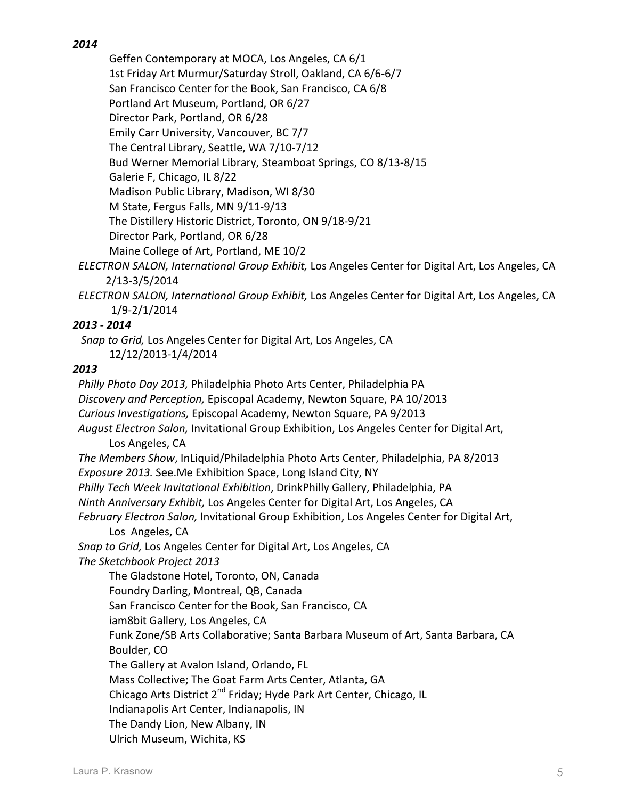Geffen Contemporary at MOCA, Los Angeles, CA 6/1 1st Friday Art Murmur/Saturday Stroll, Oakland, CA 6/6-6/7 San Francisco Center for the Book, San Francisco, CA 6/8 Portland Art Museum, Portland, OR 6/27 Director Park, Portland, OR 6/28 Emily Carr University, Vancouver, BC 7/7 The Central Library, Seattle, WA 7/10-7/12 Bud Werner Memorial Library, Steamboat Springs, CO 8/13-8/15 Galerie F, Chicago, IL 8/22 Madison Public Library, Madison, WI 8/30 M State, Fergus Falls, MN 9/11-9/13 The Distillery Historic District, Toronto, ON 9/18-9/21 Director Park, Portland, OR 6/28 Maine College of Art, Portland, ME 10/2 ELECTRON SALON, International Group Exhibit, Los Angeles Center for Digital Art, Los Angeles, CA

2/13-3/5/2014 

 *ELECTRON SALON, International Group Exhibit,* Los Angeles Center for Digital Art, Los Angeles, CA **1/9-2/1/2014** 

# *2013 - 2014*

*Snap to Grid,* Los Angeles Center for Digital Art, Los Angeles, CA 12/12/2013-1/4/2014

# *2013*

*Philly Photo Day 2013, Philadelphia Photo Arts Center, Philadelphia PA Discovery and Perception,* Episcopal Academy, Newton Square, PA 10/2013  *Curious Investigations,* Episcopal Academy, Newton Square, PA 9/2013 August *Electron Salon*, Invitational Group Exhibition, Los Angeles Center for Digital Art, Los Angeles, CA The Members Show, InLiquid/Philadelphia Photo Arts Center, Philadelphia, PA 8/2013 *Exposure 2013.* See.Me Exhibition Space, Long Island City, NY *Philly Tech Week Invitational Exhibition*, DrinkPhilly Gallery, Philadelphia, PA *Ninth Anniversary Exhibit, Los Angeles Center for Digital Art, Los Angeles, CA* February Electron Salon, Invitational Group Exhibition, Los Angeles Center for Digital Art, Los Angeles, CA *Snap to Grid,* Los Angeles Center for Digital Art, Los Angeles, CA  *The Sketchbook Project 2013* The Gladstone Hotel, Toronto, ON, Canada Foundry Darling, Montreal, QB, Canada San Francisco Center for the Book, San Francisco, CA iam8bit Gallery, Los Angeles, CA Funk Zone/SB Arts Collaborative; Santa Barbara Museum of Art, Santa Barbara, CA Boulder, CO The Gallery at Avalon Island, Orlando, FL Mass Collective; The Goat Farm Arts Center, Atlanta, GA Chicago Arts District  $2^{nd}$  Friday; Hyde Park Art Center, Chicago, IL Indianapolis Art Center, Indianapolis, IN The Dandy Lion, New Albany, IN Ulrich Museum, Wichita, KS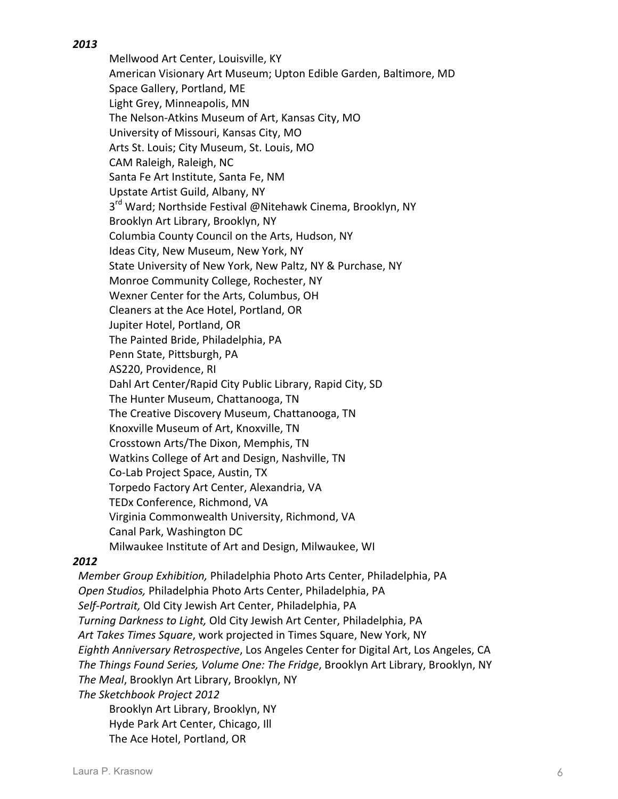Mellwood Art Center, Louisville, KY American Visionary Art Museum; Upton Edible Garden, Baltimore, MD Space Gallery, Portland, ME Light Grey, Minneapolis, MN The Nelson-Atkins Museum of Art, Kansas City, MO University of Missouri, Kansas City, MO Arts St. Louis; City Museum, St. Louis, MO CAM Raleigh, Raleigh, NC Santa Fe Art Institute, Santa Fe, NM Upstate Artist Guild, Albany, NY 3<sup>rd</sup> Ward; Northside Festival @Nitehawk Cinema, Brooklyn, NY Brooklyn Art Library, Brooklyn, NY Columbia County Council on the Arts, Hudson, NY Ideas City, New Museum, New York, NY State University of New York, New Paltz, NY & Purchase, NY Monroe Community College, Rochester, NY Wexner Center for the Arts, Columbus, OH Cleaners at the Ace Hotel, Portland, OR Jupiter Hotel, Portland, OR The Painted Bride, Philadelphia, PA Penn State, Pittsburgh, PA AS220, Providence, RI Dahl Art Center/Rapid City Public Library, Rapid City, SD The Hunter Museum, Chattanooga, TN The Creative Discovery Museum, Chattanooga, TN Knoxville Museum of Art, Knoxville, TN Crosstown Arts/The Dixon, Memphis, TN Watkins College of Art and Design, Nashville, TN Co-Lab Project Space, Austin, TX Torpedo Factory Art Center, Alexandria, VA TEDx Conference, Richmond, VA Virginia Commonwealth University, Richmond, VA Canal Park, Washington DC Milwaukee Institute of Art and Design, Milwaukee, WI

#### *2012*

*Member Group Exhibition, Philadelphia Photo Arts Center, Philadelphia, PA Open Studios,* Philadelphia Photo Arts Center, Philadelphia, PA  *Self-Portrait,* Old City Jewish Art Center, Philadelphia, PA *Turning Darkness to Light, Old City Jewish Art Center, Philadelphia, PA* Art Takes Times Square, work projected in Times Square, New York, NY *Eighth Anniversary Retrospective*, Los Angeles Center for Digital Art, Los Angeles, CA The Things Found Series, *Volume One: The Fridge*, Brooklyn Art Library, Brooklyn, NY The Meal, Brooklyn Art Library, Brooklyn, NY  *The Sketchbook Project 2012* Brooklyn Art Library, Brooklyn, NY

Hyde Park Art Center, Chicago, Ill

The Ace Hotel, Portland, OR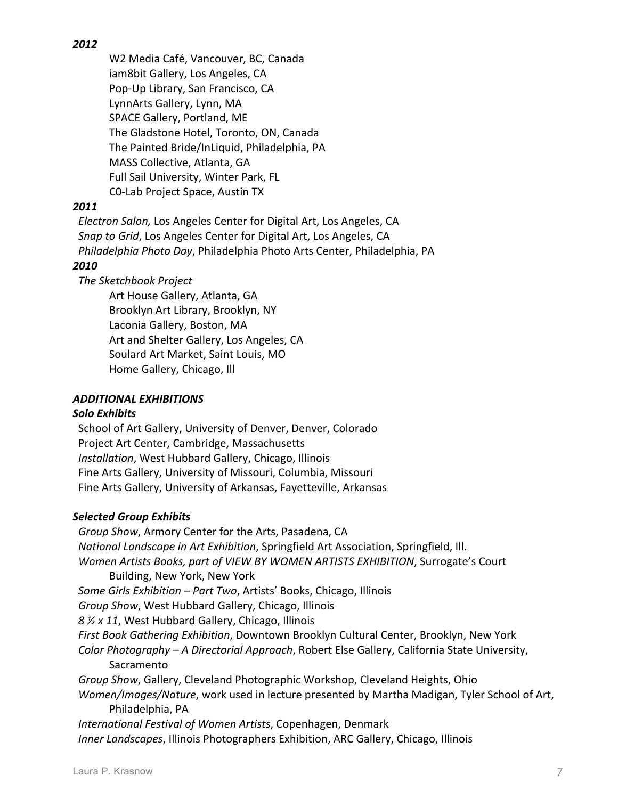W2 Media Café, Vancouver, BC, Canada iam8bit Gallery, Los Angeles, CA Pop-Up Library, San Francisco, CA LynnArts Gallery, Lynn, MA SPACE Gallery, Portland, ME The Gladstone Hotel, Toronto, ON, Canada The Painted Bride/InLiquid, Philadelphia, PA MASS Collective, Atlanta, GA Full Sail University, Winter Park, FL C0-Lab Project Space, Austin TX

### *2011*

 *Electron Salon,* Los Angeles Center for Digital Art, Los Angeles, CA *Snap to Grid*, Los Angeles Center for Digital Art, Los Angeles, CA *Philadelphia Photo Day*, Philadelphia Photo Arts Center, Philadelphia, PA

## *2010*

 *The Sketchbook Project*

Art House Gallery, Atlanta, GA Brooklyn Art Library, Brooklyn, NY Laconia Gallery, Boston, MA Art and Shelter Gallery, Los Angeles, CA Soulard Art Market, Saint Louis, MO Home Gallery, Chicago, Ill

### *ADDITIONAL EXHIBITIONS*

#### *Solo Exhibits*

School of Art Gallery, University of Denver, Denver, Colorado Project Art Center, Cambridge, Massachusetts *Installation, West Hubbard Gallery, Chicago, Illinois* Fine Arts Gallery, University of Missouri, Columbia, Missouri Fine Arts Gallery, University of Arkansas, Fayetteville, Arkansas

## *Selected Group Exhibits*

Group Show, Armory Center for the Arts, Pasadena, CA *National Landscape in Art Exhibition*, Springfield Art Association, Springfield, Ill. *Women Artists Books, part of VIEW BY WOMEN ARTISTS EXHIBITION, Surrogate's Court* **Building, New York, New York** Some Girls Exhibition – Part Two, Artists' Books, Chicago, Illinois *Group Show,* West Hubbard Gallery, Chicago, Illinois 8  $\frac{1}{2}$  x 11, West Hubbard Gallery, Chicago, Illinois *First Book Gathering Exhibition, Downtown Brooklyn Cultural Center, Brooklyn, New York Color Photography – A Directorial Approach*, Robert Else Gallery, California State University, Sacramento *Group Show, Gallery, Cleveland Photographic Workshop, Cleveland Heights, Ohio Women/Images/Nature*, work used in lecture presented by Martha Madigan, Tyler School of Art, Philadelphia, PA International Festival of Women Artists, Copenhagen, Denmark *Inner Landscapes, Illinois Photographers Exhibition, ARC Gallery, Chicago, Illinois*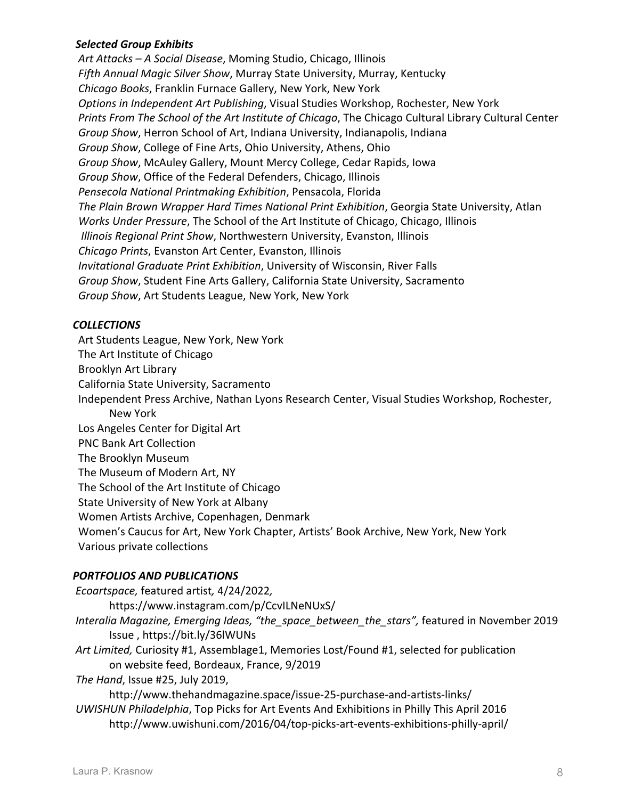### *Selected Group Exhibits*

Art Attacks – A Social Disease, Moming Studio, Chicago, Illinois Fifth Annual Magic Silver Show, Murray State University, Murray, Kentucky  *Chicago Books*, Franklin Furnace Gallery, New York, New York *Options in Independent Art Publishing, Visual Studies Workshop, Rochester, New York* Prints From The School of the Art Institute of Chicago, The Chicago Cultural Library Cultural Center Group Show, Herron School of Art, Indiana University, Indianapolis, Indiana *Group Show, College of Fine Arts, Ohio University, Athens, Ohio Group Show, McAuley Gallery, Mount Mercy College, Cedar Rapids, Iowa Group Show, Office of the Federal Defenders, Chicago, Illinois Pensecola National Printmaking Exhibition*, Pensacola, Florida The Plain Brown Wrapper Hard Times National Print Exhibition, Georgia State University, Atlan *Works Under Pressure*, The School of the Art Institute of Chicago, Chicago, Illinois *Illinois Regional Print Show, Northwestern University, Evanston, Illinois Chicago Prints*, Evanston Art Center, Evanston, Illinois *Invitational Graduate Print Exhibition, University of Wisconsin, River Falls Group Show,* Student Fine Arts Gallery, California State University, Sacramento *Group Show, Art Students League, New York, New York* 

#### *COLLECTIONS*

Art Students League, New York, New York The Art Institute of Chicago Brooklyn Art Library California State University, Sacramento Independent Press Archive, Nathan Lyons Research Center, Visual Studies Workshop, Rochester, New York Los Angeles Center for Digital Art PNC Bank Art Collection The Brooklyn Museum The Museum of Modern Art, NY The School of the Art Institute of Chicago State University of New York at Albany Women Artists Archive, Copenhagen, Denmark Women's Caucus for Art, New York Chapter, Artists' Book Archive, New York, New York Various private collections

#### *PORTFOLIOS AND PUBLICATIONS*

*Ecoartspace,* featured artist*,* 4/24/2022*,*  https://www.instagram.com/p/CcvILNeNUxS/ *Interalia Magazine, Emerging Ideas, "the\_space\_between\_the\_stars",* featured in November 2019 Issue , https://bit.ly/36lWUNs Art Limited, Curiosity #1, Assemblage1, Memories Lost/Found #1, selected for publication on website feed, Bordeaux, France, 9/2019 *The Hand*, *Issue #25*, *July 2019*, http://www.thehandmagazine.space/issue-25-purchase-and-artists-links/ UWISHUN Philadelphia, Top Picks for Art Events And Exhibitions in Philly This April 2016 http://www.uwishuni.com/2016/04/top-picks-art-events-exhibitions-philly-april/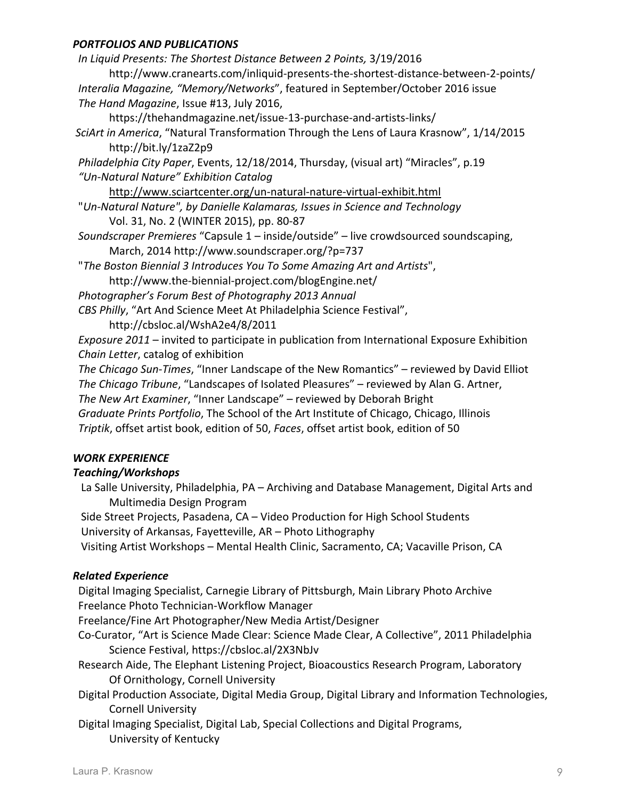#### *PORTFOLIOS AND PUBLICATIONS*

In Liquid Presents: The Shortest Distance Between 2 Points, 3/19/2016 http://www.cranearts.com/inliquid-presents-the-shortest-distance-between-2-points/ Interalia Magazine, "Memory/Networks", featured in September/October 2016 issue The Hand Magazine, Issue #13, July 2016, https://thehandmagazine.net/issue-13-purchase-and-artists-links/

*SciArt in America*, "Natural Transformation Through the Lens of Laura Krasnow", 1/14/2015 http://bit.ly/1zaZ2p9

*Philadelphia City Paper, Events, 12/18/2014, Thursday, (visual art)* "Miracles", p.19  *"Un-Natural Nature" Exhibition Catalog* 

http://www.sciartcenter.org/un-natural-nature-virtual-exhibit.html

"Un-Natural Nature", by Danielle Kalamaras, Issues in Science and Technology Vol. 31, No. 2 (WINTER 2015), pp. 80-87

Soundscraper Premieres "Capsule 1 – inside/outside" – live crowdsourced soundscaping, March, 2014 http://www.soundscraper.org/?p=737

"The Boston Biennial 3 Introduces You To Some Amazing Art and Artists",

http://www.the-biennial-project.com/blogEngine.net/ 

 *Photographer's Forum Best of Photography 2013 Annual* 

CBS Philly, "Art And Science Meet At Philadelphia Science Festival",

http://cbsloc.al/WshA2e4/8/2011

*Exposure 2011* – invited to participate in publication from International Exposure Exhibition *Chain Letter, catalog of exhibition* 

*The Chicago Sun-Times*, "Inner Landscape of the New Romantics" – reviewed by David Elliot *The Chicago Tribune*, "Landscapes of Isolated Pleasures" – reviewed by Alan G. Artner, *The New Art Examiner*, "Inner Landscape" – reviewed by Deborah Bright

*Graduate Prints Portfolio*, The School of the Art Institute of Chicago, Chicago, Illinois *Triptik*, offset artist book, edition of 50, *Faces*, offset artist book, edition of 50

## *WORK EXPERIENCE*

## *Teaching/Workshops*

La Salle University, Philadelphia, PA – Archiving and Database Management, Digital Arts and Multimedia Design Program

Side Street Projects, Pasadena, CA - Video Production for High School Students

University of Arkansas, Fayetteville, AR - Photo Lithography

Visiting Artist Workshops - Mental Health Clinic, Sacramento, CA; Vacaville Prison, CA

## *Related Experience*

Digital Imaging Specialist, Carnegie Library of Pittsburgh, Main Library Photo Archive Freelance Photo Technician-Workflow Manager

Freelance/Fine Art Photographer/New Media Artist/Designer

- Co-Curator, "Art is Science Made Clear: Science Made Clear, A Collective", 2011 Philadelphia Science Festival, https://cbsloc.al/2X3NbJv
- Research Aide, The Elephant Listening Project, Bioacoustics Research Program, Laboratory Of Ornithology, Cornell University
- Digital Production Associate, Digital Media Group, Digital Library and Information Technologies, Cornell University

Digital Imaging Specialist, Digital Lab, Special Collections and Digital Programs, University of Kentucky